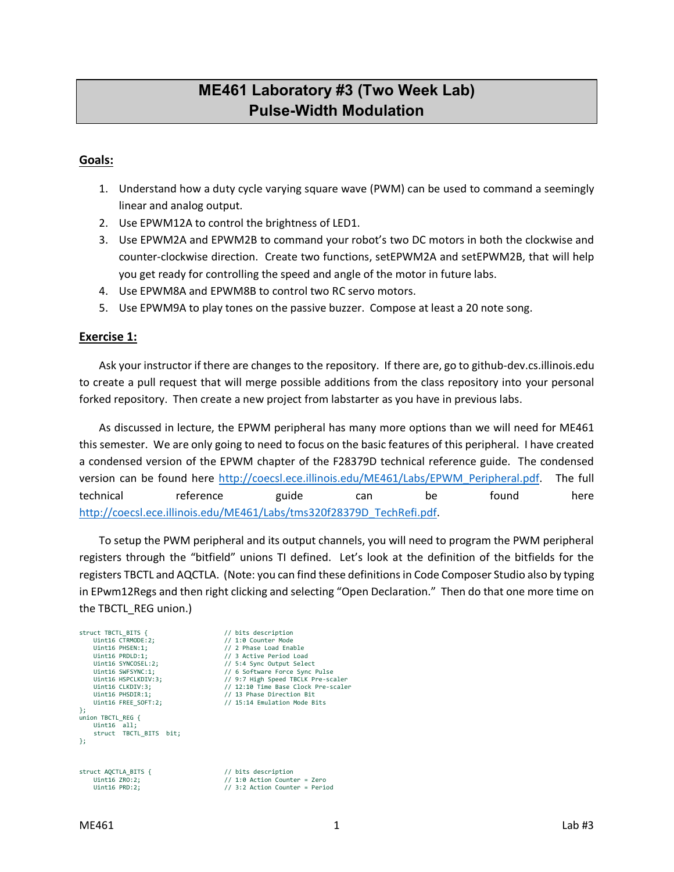# **ME461 Laboratory #3 (Two Week Lab) Pulse-Width Modulation**

### **Goals:**

- 1. Understand how a duty cycle varying square wave (PWM) can be used to command a seemingly linear and analog output.
- 2. Use EPWM12A to control the brightness of LED1.
- 3. Use EPWM2A and EPWM2B to command your robot's two DC motors in both the clockwise and counter-clockwise direction. Create two functions, setEPWM2A and setEPWM2B, that will help you get ready for controlling the speed and angle of the motor in future labs.
- 4. Use EPWM8A and EPWM8B to control two RC servo motors.
- 5. Use EPWM9A to play tones on the passive buzzer. Compose at least a 20 note song.

#### **Exercise 1:**

Ask your instructor if there are changes to the repository. If there are, go to github-dev.cs.illinois.edu to create a pull request that will merge possible additions from the class repository into your personal forked repository. Then create a new project from labstarter as you have in previous labs.

As discussed in lecture, the EPWM peripheral has many more options than we will need for ME461 this semester. We are only going to need to focus on the basic features of this peripheral. I have created a condensed version of the EPWM chapter of the F28379D technical reference guide. The condensed version can be found here [http://coecsl.ece.illinois.edu/ME461/Labs/EPWM\\_Peripheral.pdf.](http://coecsl.ece.illinois.edu/ME461/Labs/EPWM_Peripheral.pdf) The full technical reference guide can be found here [http://coecsl.ece.illinois.edu/ME461/Labs/tms320f28379D\\_TechRefi.pdf.](http://coecsl.ece.illinois.edu/ME461/Labs/tms320f28379D_TechRefi.pdf)

To setup the PWM peripheral and its output channels, you will need to program the PWM peripheral registers through the "bitfield" unions TI defined. Let's look at the definition of the bitfields for the registers TBCTL and AQCTLA. (Note: you can find these definitions in Code Composer Studio also by typing in EPwm12Regs and then right clicking and selecting "Open Declaration." Then do that one more time on the TBCTL\_REG union.)

```
struct TBCTL_BITS { // bits description<br>lint16 CTRMODE:2: // 1:0 Counter Mode
     Uint16 CTRMODE:2; // 1:0 Counter Mode<br>
Uint16 PHSEN:1; // 2 Phase Load Ena
     Uint16 PHSEN:1;<br>
\frac{1}{12} Phase Load Enable<br>
\frac{1}{13} Active Period Loa
 Uint16 PRDLD:1; // 3 Active Period Load
 Uint16 SYNCOSEL:2; // 5:4 Sync Output Select
     Uint16 SWFSYNC:1; // 6 Software Force Sync Pulse<br>Uint16 SWFSYNC:1; // 6 Software Force Sync Pulse<br>V/ 9:7 High Speed TBCLK Pre-sc
     Uint16 HSPCLKDIV:3; \frac{1}{2} // 9:7 High Speed TBCLK Pre-scaler<br>Uint16 CLKDIV:3; \frac{1}{2} // 12:10 Time Base Clock Pre-scale
     Uint16 CLKDIV:3; \frac{1}{12:10} Time Base Clock Pre-scaler<br>Uint16 PHSDIR:1: // 13 Phase Direction Bit
     Uint16 PHSDIR:1;<br>
Uint16 FREE SOFT:2;<br>
// 15:14 Emulation Mode B
                                                         // 15:14 Emulation Mode Bits
};
union TBCTL_REG {
     Uint16 - a11struct TBCTL BITS bit;
};
struct AQCTLA_BITS { \frac{1}{10} // bits description<br>Uint16 ZRO:2: \frac{1}{10} // 1:0 Action County
     Uint16 ZRO:2; // 1:0 Action Counter = Zero<br>Uint16 PRD:2; // 3:2 Action Counter = Peri
                                                          1/ 3:2 Action Counter = Period
```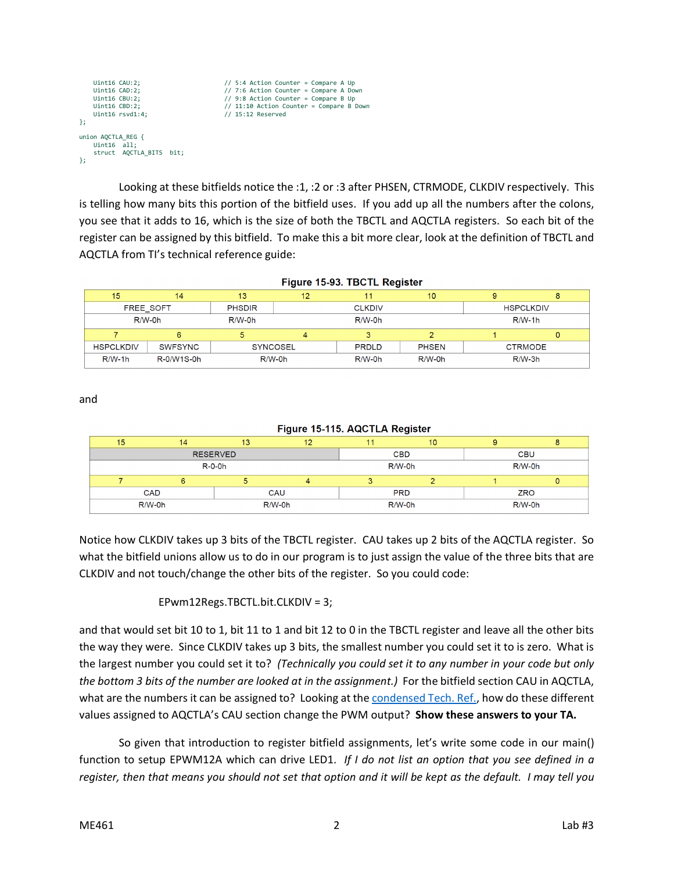```
Uint16 CAU:2; \frac{1}{5} Uint16 CAU:2; \frac{1}{5} Uint16 CAD:2; \frac{1}{5} Ounter = Compare A Do
 Uint16 CAD:2; // 7:6 Action Counter = Compare A Down
 Uint16 CBU:2; // 9:8 Action Counter = Compare B Up
    Uint16 CBD:2; \frac{1}{11:10} Action Counter = Compare B Down<br>Uint16 rsvd1:4: \frac{1}{15:12} Reserved
                                                  // 15:12 Reserved
};
union AQCTLA_REG {
    Uint16 all;
     struct AQCTLA_BITS bit;
};
```
Looking at these bitfields notice the :1, :2 or :3 after PHSEN, CTRMODE, CLKDIV respectively. This is telling how many bits this portion of the bitfield uses. If you add up all the numbers after the colons, you see that it adds to 16, which is the size of both the TBCTL and AQCTLA registers. So each bit of the register can be assigned by this bitfield. To make this a bit more clear, look at the definition of TBCTL and AQCTLA from TI's technical reference guide:

| Figure 15-93. IBCTL Register |                |                 |               |              |              |                  |   |
|------------------------------|----------------|-----------------|---------------|--------------|--------------|------------------|---|
| 15                           | 14             | 13              | 12            | 11           | 10           | 9                | 8 |
| FREE SOFT                    |                | <b>PHSDIR</b>   | <b>CLKDIV</b> |              |              | <b>HSPCLKDIV</b> |   |
| $R/W-0h$                     |                | $R/W-0h$        | $R/W-0h$      |              |              | $R/W-1h$         |   |
|                              | 6              |                 | 4             | 3            |              |                  | 0 |
| <b>HSPCLKDIV</b>             | <b>SWFSYNC</b> | <b>SYNCOSEL</b> |               | <b>PRDLD</b> | <b>PHSEN</b> | <b>CTRMODE</b>   |   |
| $R/W-1h$                     | R-0/W1S-0h     | $R/W-0h$        |               | $R/W-0h$     | $R/W-0h$     | $R/W-3h$         |   |

and

| Figure 15-115. AQCTLA Register |    |          |            |            |            |            |   |
|--------------------------------|----|----------|------------|------------|------------|------------|---|
| 15                             | 14 | 13       | 12         |            | 10         | 9          | 8 |
| <b>RESERVED</b>                |    |          |            | <b>CBD</b> |            | <b>CBU</b> |   |
| $R-O-Oh$                       |    |          | $R/W-0h$   |            | $R/W-0h$   |            |   |
|                                | 6  |          |            |            |            |            |   |
| <b>CAD</b><br>CAU              |    |          | <b>PRD</b> |            | <b>ZRO</b> |            |   |
| R/W-0h                         |    | $R/W-0h$ |            | R/W-0h     |            | R/W-0h     |   |

Notice how CLKDIV takes up 3 bits of the TBCTL register. CAU takes up 2 bits of the AQCTLA register. So what the bitfield unions allow us to do in our program is to just assign the value of the three bits that are CLKDIV and not touch/change the other bits of the register. So you could code:

#### EPwm12Regs.TBCTL.bit.CLKDIV = 3;

and that would set bit 10 to 1, bit 11 to 1 and bit 12 to 0 in the TBCTL register and leave all the other bits the way they were. Since CLKDIV takes up 3 bits, the smallest number you could set it to is zero. What is the largest number you could set it to? *(Technically you could set it to any number in your code but only the bottom 3 bits of the number are looked at in the assignment.)* For the bitfield section CAU in AQCTLA, what are the numbers it can be assigned to? Looking at the [condensed Tech. Ref.,](http://coecsl.ece.illinois.edu/ME461/Labs/EPWM_Peripheral.pdf) how do these different values assigned to AQCTLA's CAU section change the PWM output? **Show these answers to your TA.**

So given that introduction to register bitfield assignments, let's write some code in our main() function to setup EPWM12A which can drive LED1. *If I do not list an option that you see defined in a register, then that means you should not set that option and it will be kept as the default. I may tell you*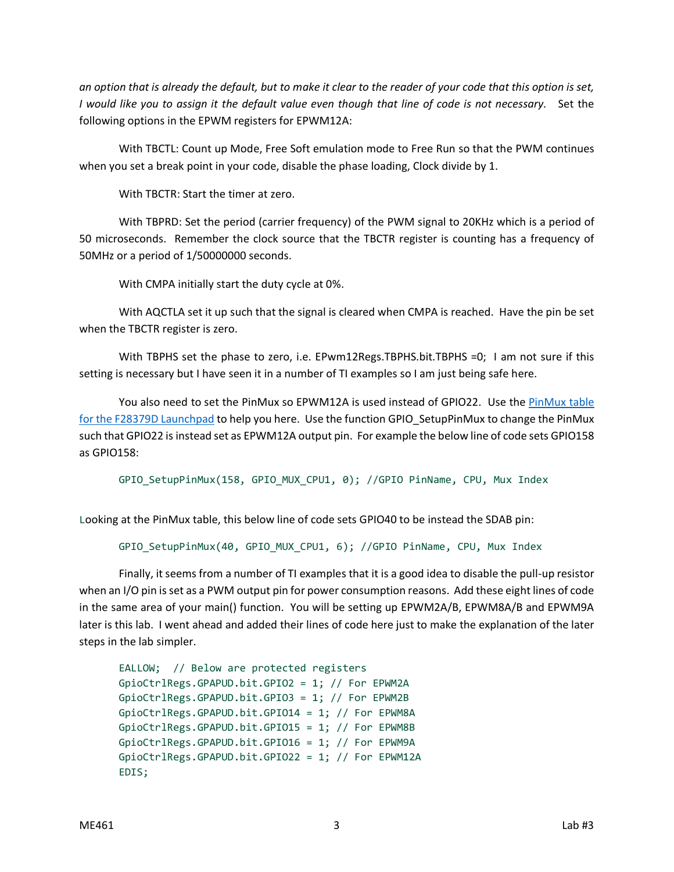*an option that is already the default, but to make it clear to the reader of your code that this option is set, I would like you to assign it the default value even though that line of code is not necessary.* Set the following options in the EPWM registers for EPWM12A:

With TBCTL: Count up Mode, Free Soft emulation mode to Free Run so that the PWM continues when you set a break point in your code, disable the phase loading, Clock divide by 1.

With TBCTR: Start the timer at zero.

With TBPRD: Set the period (carrier frequency) of the PWM signal to 20KHz which is a period of 50 microseconds. Remember the clock source that the TBCTR register is counting has a frequency of 50MHz or a period of 1/50000000 seconds.

With CMPA initially start the duty cycle at 0%.

With AQCTLA set it up such that the signal is cleared when CMPA is reached. Have the pin be set when the TBCTR register is zero.

With TBPHS set the phase to zero, i.e. EPwm12Regs.TBPHS.bit.TBPHS =0; I am not sure if this setting is necessary but I have seen it in a number of TI examples so I am just being safe here.

You also need to set the PinMux so EPWM12A is used instead of GPIO22. Use the [PinMux](http://coecsl.ece.illinois.edu/ME461/Labs/PinMuxTableF28379DLaunchPad.pdf) table [for the F28379D Launchpad](http://coecsl.ece.illinois.edu/ME461/Labs/PinMuxTableF28379DLaunchPad.pdf) to help you here. Use the function GPIO SetupPinMux to change the PinMux such that GPIO22 is instead set as EPWM12A output pin. For example the below line of code sets GPIO158 as GPIO158:

GPIO\_SetupPinMux(158, GPIO\_MUX\_CPU1, 0); //GPIO PinName, CPU, Mux Index

Looking at the PinMux table, this below line of code sets GPIO40 to be instead the SDAB pin:

GPIO SetupPinMux(40, GPIO MUX CPU1, 6); //GPIO PinName, CPU, Mux Index

Finally, it seems from a number of TI examples that it is a good idea to disable the pull-up resistor when an I/O pin is set as a PWM output pin for power consumption reasons. Add these eight lines of code in the same area of your main() function. You will be setting up EPWM2A/B, EPWM8A/B and EPWM9A later is this lab. I went ahead and added their lines of code here just to make the explanation of the later steps in the lab simpler.

```
EALLOW; // Below are protected registers
GpioCtrlRegs.GPAPUD.bit.GPIO2 = 1; // For EPWM2A
GpioCtrlRegs.GPAPUD.bit.GPIO3 = 1; // For EPWM2B
GpioCtrlRegs.GPAPUD.bit.GPIO14 = 1; // For EPWM8A
GpioCtrlRegs.GPAPUD.bit.GPIO15 = 1; // For EPWM8B
GpioCtrlRegs.GPAPUD.bit.GPIO16 = 1; // For EPWM9A
GpioCtrlRegs.GPAPUD.bit.GPIO22 = 1; // For EPWM12A
EDIS;
```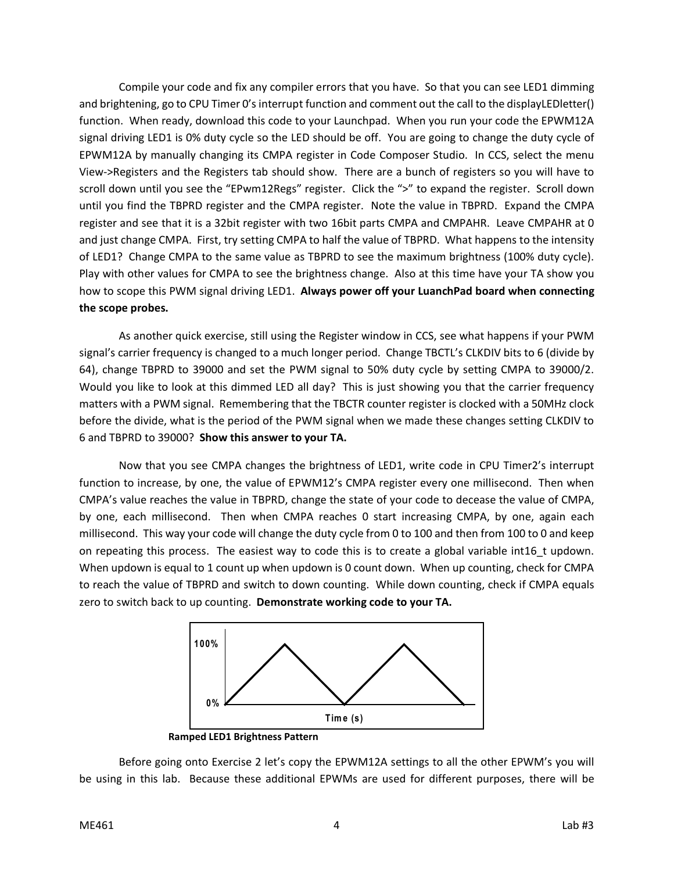Compile your code and fix any compiler errors that you have. So that you can see LED1 dimming and brightening, go to CPU Timer 0's interrupt function and comment out the call to the displayLEDletter() function. When ready, download this code to your Launchpad. When you run your code the EPWM12A signal driving LED1 is 0% duty cycle so the LED should be off. You are going to change the duty cycle of EPWM12A by manually changing its CMPA register in Code Composer Studio. In CCS, select the menu View->Registers and the Registers tab should show. There are a bunch of registers so you will have to scroll down until you see the "EPwm12Regs" register. Click the ">" to expand the register. Scroll down until you find the TBPRD register and the CMPA register. Note the value in TBPRD. Expand the CMPA register and see that it is a 32bit register with two 16bit parts CMPA and CMPAHR. Leave CMPAHR at 0 and just change CMPA. First, try setting CMPA to half the value of TBPRD. What happens to the intensity of LED1? Change CMPA to the same value as TBPRD to see the maximum brightness (100% duty cycle). Play with other values for CMPA to see the brightness change. Also at this time have your TA show you how to scope this PWM signal driving LED1. **Always power off your LuanchPad board when connecting the scope probes.** 

As another quick exercise, still using the Register window in CCS, see what happens if your PWM signal's carrier frequency is changed to a much longer period. Change TBCTL's CLKDIV bits to 6 (divide by 64), change TBPRD to 39000 and set the PWM signal to 50% duty cycle by setting CMPA to 39000/2. Would you like to look at this dimmed LED all day? This is just showing you that the carrier frequency matters with a PWM signal. Remembering that the TBCTR counter register is clocked with a 50MHz clock before the divide, what is the period of the PWM signal when we made these changes setting CLKDIV to 6 and TBPRD to 39000? **Show this answer to your TA.**

Now that you see CMPA changes the brightness of LED1, write code in CPU Timer2's interrupt function to increase, by one, the value of EPWM12's CMPA register every one millisecond. Then when CMPA's value reaches the value in TBPRD, change the state of your code to decease the value of CMPA, by one, each millisecond. Then when CMPA reaches 0 start increasing CMPA, by one, again each millisecond. This way your code will change the duty cycle from 0 to 100 and then from 100 to 0 and keep on repeating this process. The easiest way to code this is to create a global variable int16\_t updown. When updown is equal to 1 count up when updown is 0 count down. When up counting, check for CMPA to reach the value of TBPRD and switch to down counting. While down counting, check if CMPA equals zero to switch back to up counting. **Demonstrate working code to your TA.**



Before going onto Exercise 2 let's copy the EPWM12A settings to all the other EPWM's you will be using in this lab. Because these additional EPWMs are used for different purposes, there will be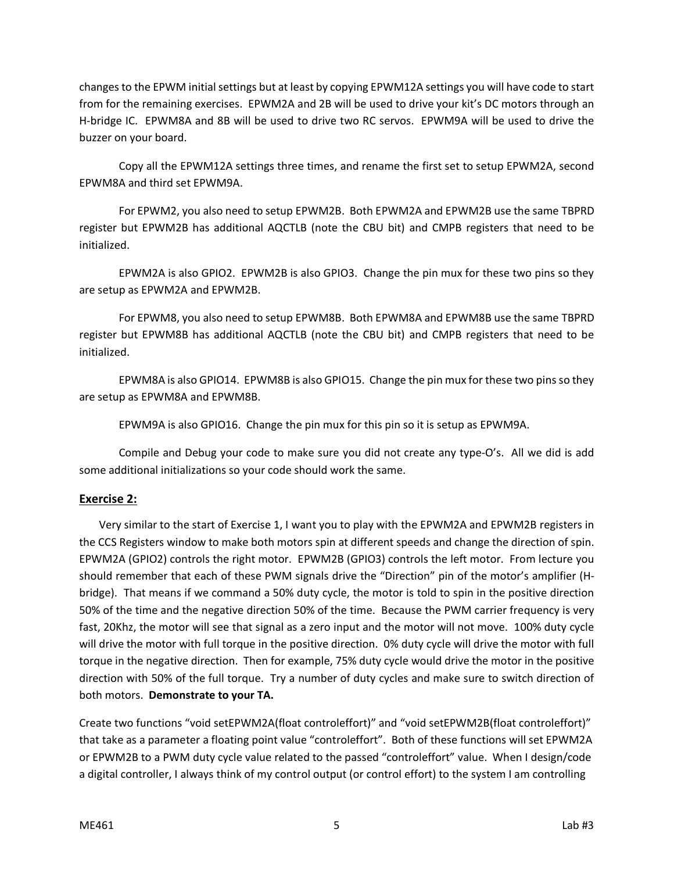changes to the EPWM initial settings but at least by copying EPWM12A settings you will have code to start from for the remaining exercises. EPWM2A and 2B will be used to drive your kit's DC motors through an H-bridge IC. EPWM8A and 8B will be used to drive two RC servos. EPWM9A will be used to drive the buzzer on your board.

Copy all the EPWM12A settings three times, and rename the first set to setup EPWM2A, second EPWM8A and third set EPWM9A.

For EPWM2, you also need to setup EPWM2B. Both EPWM2A and EPWM2B use the same TBPRD register but EPWM2B has additional AQCTLB (note the CBU bit) and CMPB registers that need to be initialized.

EPWM2A is also GPIO2. EPWM2B is also GPIO3. Change the pin mux for these two pins so they are setup as EPWM2A and EPWM2B.

For EPWM8, you also need to setup EPWM8B. Both EPWM8A and EPWM8B use the same TBPRD register but EPWM8B has additional AQCTLB (note the CBU bit) and CMPB registers that need to be initialized.

EPWM8A is also GPIO14. EPWM8B is also GPIO15. Change the pin mux for these two pins so they are setup as EPWM8A and EPWM8B.

EPWM9A is also GPIO16. Change the pin mux for this pin so it is setup as EPWM9A.

Compile and Debug your code to make sure you did not create any type-O's. All we did is add some additional initializations so your code should work the same.

# **Exercise 2:**

Very similar to the start of Exercise 1, I want you to play with the EPWM2A and EPWM2B registers in the CCS Registers window to make both motors spin at different speeds and change the direction of spin. EPWM2A (GPIO2) controls the right motor. EPWM2B (GPIO3) controls the left motor. From lecture you should remember that each of these PWM signals drive the "Direction" pin of the motor's amplifier (Hbridge). That means if we command a 50% duty cycle, the motor is told to spin in the positive direction 50% of the time and the negative direction 50% of the time. Because the PWM carrier frequency is very fast, 20Khz, the motor will see that signal as a zero input and the motor will not move. 100% duty cycle will drive the motor with full torque in the positive direction. 0% duty cycle will drive the motor with full torque in the negative direction. Then for example, 75% duty cycle would drive the motor in the positive direction with 50% of the full torque. Try a number of duty cycles and make sure to switch direction of both motors. **Demonstrate to your TA.**

Create two functions "void setEPWM2A(float controleffort)" and "void setEPWM2B(float controleffort)" that take as a parameter a floating point value "controleffort". Both of these functions will set EPWM2A or EPWM2B to a PWM duty cycle value related to the passed "controleffort" value. When I design/code a digital controller, I always think of my control output (or control effort) to the system I am controlling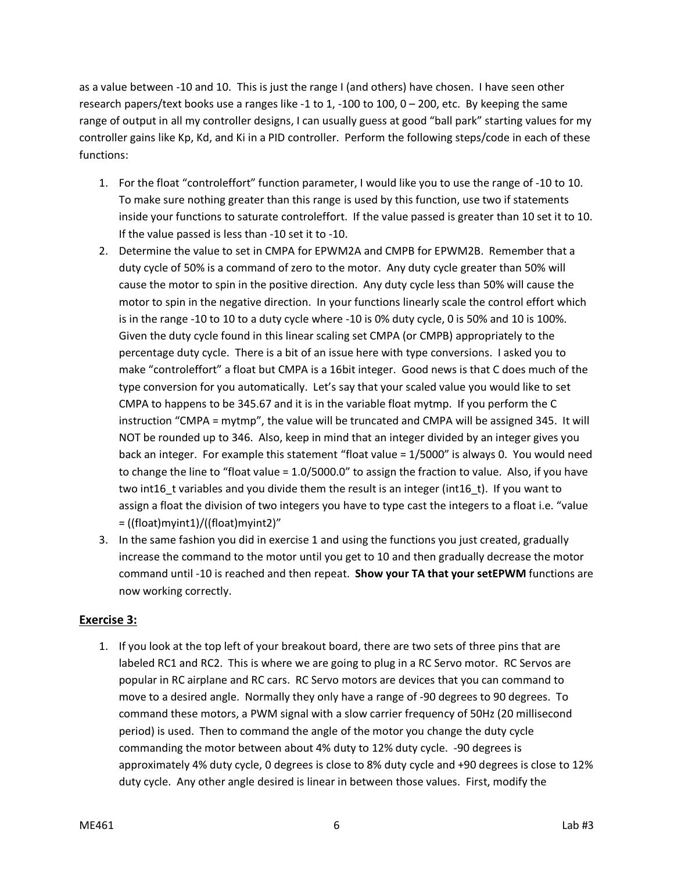as a value between -10 and 10. This is just the range I (and others) have chosen. I have seen other research papers/text books use a ranges like -1 to 1, -100 to 100, 0 – 200, etc. By keeping the same range of output in all my controller designs, I can usually guess at good "ball park" starting values for my controller gains like Kp, Kd, and Ki in a PID controller. Perform the following steps/code in each of these functions:

- 1. For the float "controleffort" function parameter, I would like you to use the range of -10 to 10. To make sure nothing greater than this range is used by this function, use two if statements inside your functions to saturate controleffort. If the value passed is greater than 10 set it to 10. If the value passed is less than -10 set it to -10.
- 2. Determine the value to set in CMPA for EPWM2A and CMPB for EPWM2B. Remember that a duty cycle of 50% is a command of zero to the motor. Any duty cycle greater than 50% will cause the motor to spin in the positive direction. Any duty cycle less than 50% will cause the motor to spin in the negative direction. In your functions linearly scale the control effort which is in the range -10 to 10 to a duty cycle where -10 is 0% duty cycle, 0 is 50% and 10 is 100%. Given the duty cycle found in this linear scaling set CMPA (or CMPB) appropriately to the percentage duty cycle. There is a bit of an issue here with type conversions. I asked you to make "controleffort" a float but CMPA is a 16bit integer. Good news is that C does much of the type conversion for you automatically. Let's say that your scaled value you would like to set CMPA to happens to be 345.67 and it is in the variable float mytmp. If you perform the C instruction "CMPA = mytmp", the value will be truncated and CMPA will be assigned 345. It will NOT be rounded up to 346. Also, keep in mind that an integer divided by an integer gives you back an integer. For example this statement "float value = 1/5000" is always 0. You would need to change the line to "float value = 1.0/5000.0" to assign the fraction to value. Also, if you have two int16 t variables and you divide them the result is an integer (int16 t). If you want to assign a float the division of two integers you have to type cast the integers to a float i.e. "value = ((float)myint1)/((float)myint2)"
- 3. In the same fashion you did in exercise 1 and using the functions you just created, gradually increase the command to the motor until you get to 10 and then gradually decrease the motor command until -10 is reached and then repeat. **Show your TA that your setEPWM** functions are now working correctly.

## **Exercise 3:**

1. If you look at the top left of your breakout board, there are two sets of three pins that are labeled RC1 and RC2. This is where we are going to plug in a RC Servo motor. RC Servos are popular in RC airplane and RC cars. RC Servo motors are devices that you can command to move to a desired angle. Normally they only have a range of -90 degrees to 90 degrees. To command these motors, a PWM signal with a slow carrier frequency of 50Hz (20 millisecond period) is used. Then to command the angle of the motor you change the duty cycle commanding the motor between about 4% duty to 12% duty cycle. -90 degrees is approximately 4% duty cycle, 0 degrees is close to 8% duty cycle and +90 degrees is close to 12% duty cycle. Any other angle desired is linear in between those values. First, modify the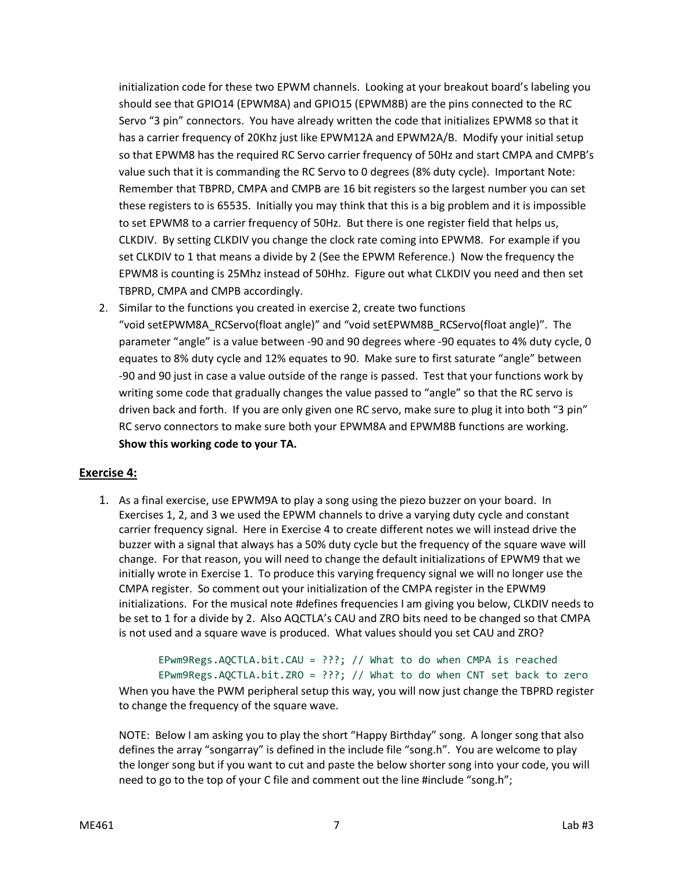initialization code for these two EPWM channels. Looking at your breakout board's labeling you should see that GPIO14 (EPWM8A) and GPIO15 (EPWM8B) are the pins connected to the RC Servo "3 pin" connectors. You have already written the code that initializes EPWM8 so that it has a carrier frequency of 20Khz just like EPWM12A and EPWM2A/B. Modify your initial setup so that EPWM8 has the required RC Servo carrier frequency of 50Hz and start CMPA and CMPB's value such that it is commanding the RC Servo to 0 degrees (8% duty cycle). Important Note: Remember that TBPRD, CMPA and CMPB are 16 bit registers so the largest number you can set these registers to is 65535. Initially you may think that this is a big problem and it is impossible to set EPWM8 to a carrier frequency of 50Hz. But there is one register field that helps us, CLKDIV. By setting CLKDIV you change the clock rate coming into EPWM8. For example if you set CLKDIV to 1 that means a divide by 2 (See the EPWM Reference.) Now the frequency the EPWM8 is counting is 25Mhz instead of 50Hhz. Figure out what CLKDIV you need and then set TBPRD, CMPA and CMPB accordingly.

2. Similar to the functions you created in exercise 2, create two functions "void setEPWM8A\_RCServo(float angle)" and "void setEPWM8B\_RCServo(float angle)". The parameter "angle" is a value between -90 and 90 degrees where -90 equates to 4% duty cycle, 0 equates to 8% duty cycle and 12% equates to 90. Make sure to first saturate "angle" between -90 and 90 just in case a value outside of the range is passed. Test that your functions work by writing some code that gradually changes the value passed to "angle" so that the RC servo is driven back and forth. If you are only given one RC servo, make sure to plug it into both "3 pin" RC servo connectors to make sure both your EPWM8A and EPWM8B functions are working. **Show this working code to your TA.**

# **Exercise 4:**

1. As a final exercise, use EPWM9A to play a song using the piezo buzzer on your board. In Exercises 1, 2, and 3 we used the EPWM channels to drive a varying duty cycle and constant carrier frequency signal. Here in Exercise 4 to create different notes we will instead drive the buzzer with a signal that always has a 50% duty cycle but the frequency of the square wave will change. For that reason, you will need to change the default initializations of EPWM9 that we initially wrote in Exercise 1. To produce this varying frequency signal we will no longer use the CMPA register. So comment out your initialization of the CMPA register in the EPWM9 initializations. For the musical note #defines frequencies I am giving you below, CLKDIV needs to be set to 1 for a divide by 2. Also AQCTLA's CAU and ZRO bits need to be changed so that CMPA is not used and a square wave is produced. What values should you set CAU and ZRO?

EPwm9Regs.AQCTLA.bit.CAU = ???; // What to do when CMPA is reached EPwm9Regs.AQCTLA.bit.ZRO = ???; // What to do when CNT set back to zero When you have the PWM peripheral setup this way, you will now just change the TBPRD register to change the frequency of the square wave.

NOTE: Below I am asking you to play the short "Happy Birthday" song. A longer song that also defines the array "songarray" is defined in the include file "song.h". You are welcome to play the longer song but if you want to cut and paste the below shorter song into your code, you will need to go to the top of your C file and comment out the line #include "song.h";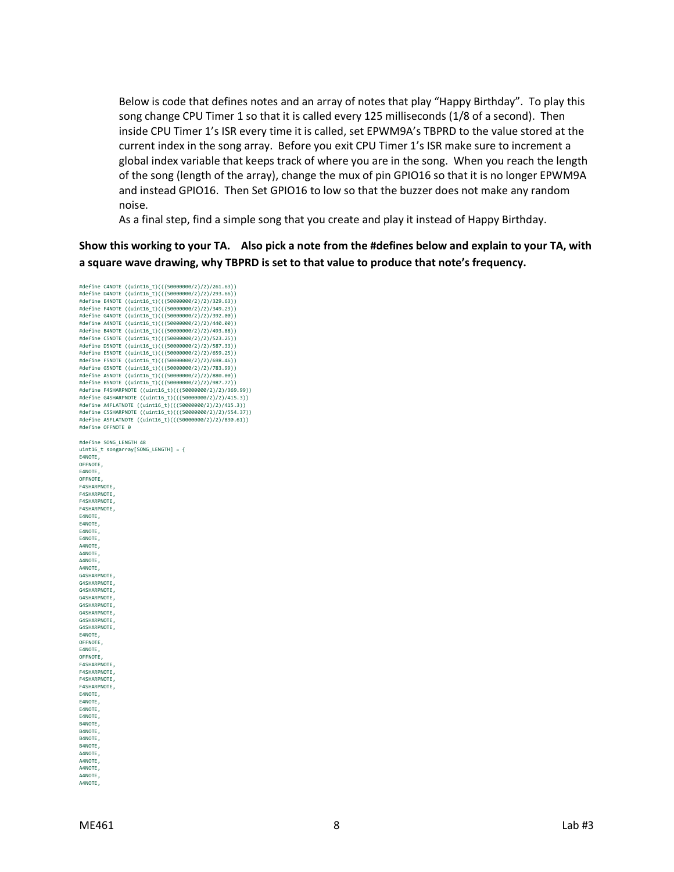Below is code that defines notes and an array of notes that play "Happy Birthday". To play this song change CPU Timer 1 so that it is called every 125 milliseconds (1/8 of a second). Then inside CPU Timer 1's ISR every time it is called, set EPWM9A's TBPRD to the value stored at the current index in the song array. Before you exit CPU Timer 1's ISR make sure to increment a global index variable that keeps track of where you are in the song. When you reach the length of the song (length of the array), change the mux of pin GPIO16 so that it is no longer EPWM9A and instead GPIO16. Then Set GPIO16 to low so that the buzzer does not make any random noise.

As a final step, find a simple song that you create and play it instead of Happy Birthday.

## **Show this working to your TA. Also pick a note from the #defines below and explain to your TA, with a square wave drawing, why TBPRD is set to that value to produce that note's frequency.**

```
#define C4NOTE ((uint16_t)(((50000000/2)/2)/261.63))
#define D4NOTE ((uint16_t)(((50000000/2)/2)/293.66))
#define E4NOTE ((uint16_t)(((50000000/2)/2)/329.63))
#define F4NOTE ((uint16_t)(((50000000/2)/2)/349.23))
#define G4NOTE ((uint16_t)(((50000000/2)/2)/392.00))
#define A4NOTE ((uint16_t)(((50000000/2)/2)/440.00))
#define B4NOTE ((uint16_t)(((50000000/2)/2)/493.88))
#define C5NOTE ((uint16_t)(((50000000/2)/2)/523.25))
#define D5NOTE ((uint16_t)(((50000000/2)/2)/587.33))
#define E5NOTE ((uint16_t)(((50000000/2)/2)/659.25))
#define F5NOTE ((uint16_t)(((50000000/2)/2)/698.46))
#define G5NOTE ((uint16_t)(((50000000/2)/2)/783.99))
#define A5NOTE ((uint16_t)(((50000000/2)/2)/880.00))
#define B5NOTE ((uint16_t)(((50000000/2)/2)/987.77))
#define F4SHARPNOTE ((uint16_t)(((50000000/2)/2)/369.99))
#define G4SHARPNOTE ((uint16_t)(((50000000/2)/2)/415.3))
#define A4FLATNOTE ((uint16_t)(((50000000/2)/2)/415.3))
#define C5SHARPNOTE ((uint16_t)(((50000000/2)/2)/554.37))
#define A5FLATNOTE ((uint16_t)(((50000000/2)/2)/830.61))
#define OFFNOTE 0
#define SONG_LENGTH 48
uint16_t songarray[SONG_LENGTH] = {
E4NOTE,
OFFNOTE,
E4NOTE,
OFFNOTE,
F4SHARPNOTE,
F4SHARPNOTE,
F4SHARPNOTE,
F4SHARPNOTE,
E4NOTE,
E4NOTE,
E4NOTE,
E4NOTE,
A4NOTE,
A4NOTE,
A4NOTE,
A4NOTE,
G4SHARPNOTE,
G4SHARPNOTE,
G4SHARPNOTE,
G4SHARPNOTE,
G4SHARPNOTE,
G4SHARPNOTE,
G4SHARPNOTE,
G4SHARPNOTE,
E4NOTE,
OFFNOTE,
E4NOTE,
OFFNOTE,
F4SHARPNOTE
F4SHARPNOTE,
F4SHARPNOTE,
F4SHARPNOTE,
E4NOTE,
E4NOTE,
E4NOTE,
E4NOTE,
B4NOTE,
B4NOTE
B4NOTE,
B4NOTE,
A4NOTE,
A4NOTE,
A4NOTE,
A4NOTE,
A4NOTE,
```